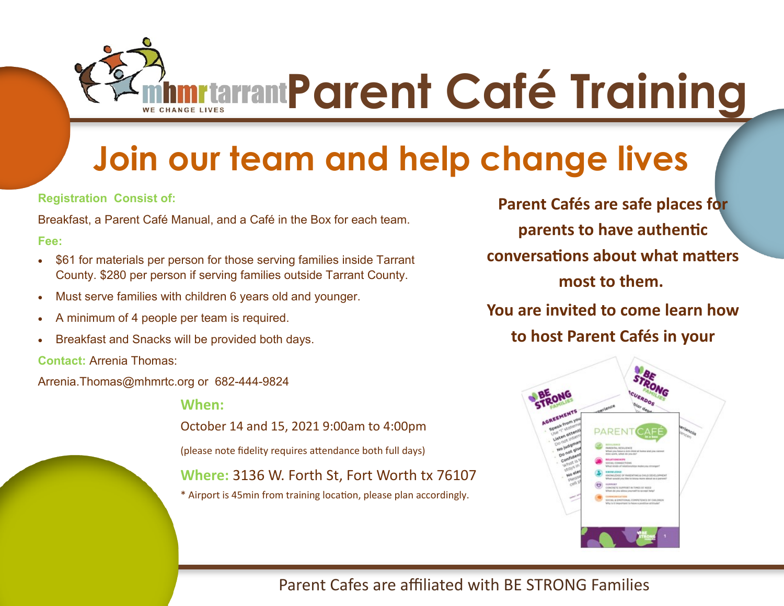**ADDECITE Parent Café Training** 

# **Join our team and help change lives**

**Registration Consist of:** 

Breakfast, a Parent Café Manual, and a Café in the Box for each team.

**Fee:** 

- \$61 for materials per person for those serving families inside Tarrant County. \$280 per person if serving families outside Tarrant County.
- Must serve families with children 6 years old and younger.
- A minimum of 4 people per team is required.
- Breakfast and Snacks will be provided both days.

**Contact:** Arrenia Thomas:

Arrenia.Thomas@mhmrtc.org or 682-444-9824

**When:** 

October 14 and 15, 2021 9:00am to 4:00pm

(please note fidelity requires attendance both full days)

**Where:** 3136 W. Forth St, Fort Worth tx 76107

\* Airport is 45min from training location, please plan accordingly.

**Parent Cafés are safe places for parents to have authentic conversations about what matters most to them. You are invited to come learn how** 

**to host Parent Cafés in your** 



Parent Cafes are affiliated with BE STRONG Families